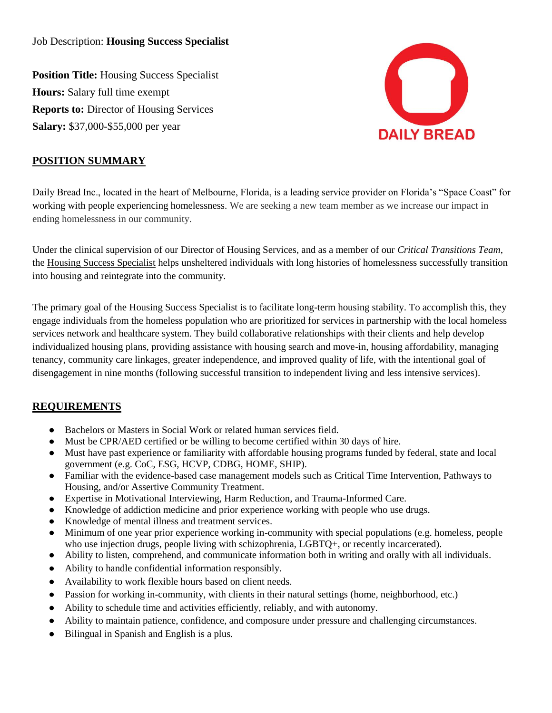Job Description: **Housing Success Specialist**

**Position Title:** Housing Success Specialist **Hours:** Salary full time exempt **Reports to:** Director of Housing Services **Salary:** \$37,000-\$55,000 per year



# **POSITION SUMMARY**

Daily Bread Inc., located in the heart of Melbourne, Florida, is a leading service provider on Florida's "Space Coast" for working with people experiencing homelessness. We are seeking a new team member as we increase our impact in ending homelessness in our community.

Under the clinical supervision of our Director of Housing Services, and as a member of our *Critical Transitions Team*, the Housing Success Specialist helps unsheltered individuals with long histories of homelessness successfully transition into housing and reintegrate into the community.

The primary goal of the Housing Success Specialist is to facilitate long-term housing stability. To accomplish this, they engage individuals from the homeless population who are prioritized for services in partnership with the local homeless services network and healthcare system. They build collaborative relationships with their clients and help develop individualized housing plans, providing assistance with housing search and move-in, housing affordability, managing tenancy, community care linkages, greater independence, and improved quality of life, with the intentional goal of disengagement in nine months (following successful transition to independent living and less intensive services).

# **REQUIREMENTS**

- Bachelors or Masters in Social Work or related human services field.
- Must be CPR/AED certified or be willing to become certified within 30 days of hire.
- Must have past experience or familiarity with affordable housing programs funded by federal, state and local government (e.g. CoC, ESG, HCVP, CDBG, HOME, SHIP).
- Familiar with the evidence-based case management models such as Critical Time Intervention, Pathways to Housing, and/or Assertive Community Treatment.
- Expertise in Motivational Interviewing, Harm Reduction, and Trauma-Informed Care.
- Knowledge of addiction medicine and prior experience working with people who use drugs.
- Knowledge of mental illness and treatment services.
- Minimum of one year prior experience working in-community with special populations (e.g. homeless, people who use injection drugs, people living with schizophrenia, LGBTQ+, or recently incarcerated).
- Ability to listen, comprehend, and communicate information both in writing and orally with all individuals.
- Ability to handle confidential information responsibly.
- Availability to work flexible hours based on client needs.
- Passion for working in-community, with clients in their natural settings (home, neighborhood, etc.)
- Ability to schedule time and activities efficiently, reliably, and with autonomy.
- Ability to maintain patience, confidence, and composure under pressure and challenging circumstances.
- Bilingual in Spanish and English is a plus.